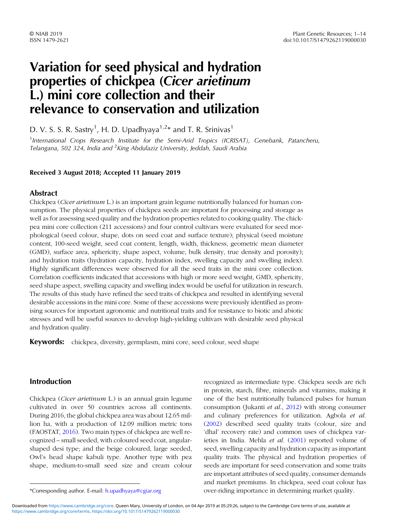# Variation for seed physical and hydration properties of chickpea (Cicer arietinum L.) mini core collection and their relevance to conservation and utilization

D. V. S. S. R. Sastry<sup>1</sup>, H. D. Upadhyaya<sup>1,2\*</sup> and T. R. Srinivas<sup>1</sup>

<sup>1</sup>International Crops Research Institute for the Semi-Arid Tropics (ICRISAT), Genebank, Patancheru, Telangana, 502 324, India and <sup>2</sup>King Abdulaziz University, Jeddah, Saudi Arabia

#### Received 3 August 2018; Accepted 11 January 2019

## Abstract

Chickpea (*Cicer arietinum L.*) is an important grain legume nutritionally balanced for human consumption. The physical properties of chickpea seeds are important for processing and storage as well as for assessing seed quality and the hydration properties related to cooking quality. The chickpea mini core collection (211 accessions) and four control cultivars were evaluated for seed morphological (seed colour, shape, dots on seed coat and surface texture); physical (seed moisture content, 100-seed weight, seed coat content, length, width, thickness, geometric mean diameter (GMD), surface area, sphericity, shape aspect, volume, bulk density, true density and porosity); and hydration traits (hydration capacity, hydration index, swelling capacity and swelling index). Highly significant differences were observed for all the seed traits in the mini core collection. Correlation coefficients indicated that accessions with high or more seed weight, GMD, sphericity, seed shape aspect, swelling capacity and swelling index would be useful for utilization in research. The results of this study have refined the seed traits of chickpea and resulted in identifying several desirable accessions in the mini core. Some of these accessions were previously identified as promising sources for important agronomic and nutritional traits and for resistance to biotic and abiotic stresses and will be useful sources to develop high-yielding cultivars with desirable seed physical and hydration quality.

Keywords: chickpea, diversity, germplasm, mini core, seed colour, seed shape

# Introduction

Chickpea (Cicer arietinum L.) is an annual grain legume cultivated in over 50 countries across all continents. During 2016, the global chickpea area was about 12.65 million ha, with a production of 12.09 million metric tons (FAOSTAT, [2016](#page-12-0)). Two main types of chickpea are well recognized – small seeded, with coloured seed coat, angularshaped desi type; and the beige coloured, large seeded, Owl's head shape kabuli type. Another type with pea shape, medium-to-small seed size and cream colour

recognized as intermediate type. Chickpea seeds are rich in protein, starch, fibre, minerals and vitamins, making it one of the best nutritionally balanced pulses for human consumption (Jukanti et al., [2012\)](#page-12-0) with strong consumer and culinary preferences for utilization. Agbola et al. [\(2002](#page-12-0)) described seed quality traits (colour, size and 'dhal' recovery rate) and common uses of chickpea varieties in India. Mehla et al. ([2001\)](#page-12-0) reported volume of seed, swelling capacity and hydration capacity as important quality traits. The physical and hydration properties of seeds are important for seed conservation and some traits are important attributes of seed quality, consumer demands and market premiums. In chickpea, seed coat colour has \*Corresponding author. E-mail: [h.upadhyaya@cgiar.org](mailto:h.upadhyaya@cgiar.org) over-riding importance in determining market quality.

[https://www.cambridge.org/core/terms.](https://www.cambridge.org/core/terms) <https://doi.org/10.1017/S1479262119000030> Downloaded from [https://www.cambridge.org/core.](https://www.cambridge.org/core) Queen Mary, University of London, on 04 Apr 2019 at 05:29:26, subject to the Cambridge Core terms of use, available at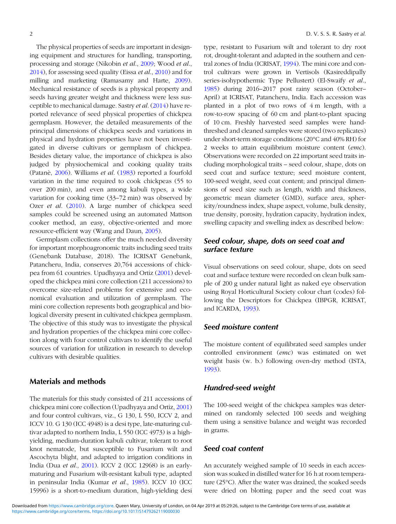The physical properties of seeds are important in designing equipment and structures for handling, transporting, processing and storage (Nikobin et al., [2009](#page-12-0); Wood et al., [2014\)](#page-13-0), for assessing seed quality (Eissa et al., [2010\)](#page-12-0) and for milling and marketing (Ramasamy and Harte, [2009](#page-13-0)). Mechanical resistance of seeds is a physical property and seeds having greater weight and thickness were less susceptible to mechanical damage. Sastry et al. ([2014\)](#page-13-0) have reported relevance of seed physical properties of chickpea germplasm. However, the detailed measurements of the principal dimensions of chickpea seeds and variations in physical and hydration properties have not been investigated in diverse cultivars or germplasm of chickpea. Besides dietary value, the importance of chickpea is also judged by physiochemical and cooking quality traits (Patanè, [2006](#page-13-0)). Williams et al. [\(1983](#page-13-0)) reported a fourfold variation in the time required to cook chickpeas (55 to over 200 min), and even among kabuli types, a wide variation for cooking time (33–72 min) was observed by Ozer et al. [\(2010](#page-13-0)). A large number of chickpea seed samples could be screened using an automated Mattson cooker method, an easy, objective-oriented and more resource-efficient way (Wang and Daun, [2005\)](#page-13-0).

Germplasm collections offer the much needed diversity for important morphoagronomic traits including seed traits (Genebank Database, 2018). The ICRISAT Genebank, Patancheru, India, conserves 20,764 accessions of chickpea from 61 countries. Upadhyaya and Ortiz [\(2001](#page-13-0)) developed the chickpea mini core collection (211 accessions) to overcome size-related problems for extensive and economical evaluation and utilization of germplasm. The mini core collection represents both geographical and biological diversity present in cultivated chickpea germplasm. The objective of this study was to investigate the physical and hydration properties of the chickpea mini core collection along with four control cultivars to identify the useful sources of variation for utilization in research to develop cultivars with desirable qualities.

#### Materials and methods

The materials for this study consisted of 211 accessions of chickpea mini core collection (Upadhyaya and Ortiz, [2001\)](#page-13-0) and four control cultivars, viz., G 130, L 550, ICCV 2, and ICCV 10. G 130 (ICC 4948) is a desi type, late-maturing cultivar adapted to northern India, L 550 (ICC 4973) is a highyielding, medium-duration kabuli cultivar, tolerant to root knot nematode, but susceptible to Fusarium wilt and Ascochyta blight, and adapted to irrigation conditions in India (Dua et al., [2001\)](#page-12-0). ICCV 2 (ICC 12968) is an earlymaturing and Fusarium wilt-resistant kabuli type, adapted in peninsular India (Kumar et al., [1985\)](#page-12-0). ICCV 10 (ICC 15996) is a short-to-medium duration, high-yielding desi type, resistant to Fusarium wilt and tolerant to dry root rot, drought-tolerant and adapted in the southern and central zones of India (ICRISAT, [1994\)](#page-12-0). The mini core and control cultivars were grown in Vertisols (Kasireddipally series-isohypothermic Type Pellustert) (El-Swaify et al., [1985](#page-12-0)) during 2016–2017 post rainy season (October– April) at ICRISAT, Patancheru, India. Each accession was planted in a plot of two rows of 4 m length, with a row-to-row spacing of 60 cm and plant-to-plant spacing of 10 cm. Freshly harvested seed samples were handthreshed and cleaned samples were stored (two replicates) under short-term storage conditions (20°C and 40% RH) for 2 weeks to attain equilibrium moisture content (emc). Observations were recorded on 22 important seed traits including morphological traits – seed colour, shape, dots on seed coat and surface texture; seed moisture content, 100-seed weight, seed coat content; and principal dimensions of seed size such as length, width and thickness, geometric mean diameter (GMD), surface area, sphericity/roundness index, shape aspect, volume, bulk density, true density, porosity, hydration capacity, hydration index, swelling capacity and swelling index as described below:

# Seed colour, shape, dots on seed coat and surface texture

Visual observations on seed colour, shape, dots on seed coat and surface texture were recorded on clean bulk sample of 200 g under natural light as naked eye observation using Royal Horticultural Society colour chart (codes) following the Descriptors for Chickpea (IBPGR, ICRISAT, and ICARDA, [1993](#page-12-0)).

#### Seed moisture content

The moisture content of equilibrated seed samples under controlled environment (emc) was estimated on wet weight basis (w. b.) following oven-dry method (ISTA, [1993](#page-12-0)).

#### Hundred-seed weight

The 100-seed weight of the chickpea samples was determined on randomly selected 100 seeds and weighing them using a sensitive balance and weight was recorded in grams.

# Seed coat content

An accurately weighed sample of 10 seeds in each accession was soaked in distilled water for 16 h at room temperature (25°C). After the water was drained, the soaked seeds were dried on blotting paper and the seed coat was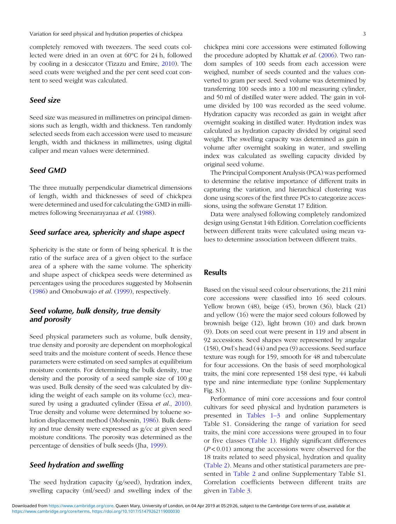completely removed with tweezers. The seed coats collected were dried in an oven at 60°C for 24 h, followed by cooling in a desiccator (Tizazu and Emire, [2010](#page-13-0)). The seed coats were weighed and the per cent seed coat content to seed weight was calculated.

#### Seed size

Seed size was measured in millimetres on principal dimensions such as length, width and thickness. Ten randomly selected seeds from each accession were used to measure length, width and thickness in millimetres, using digital caliper and mean values were determined.

# Seed GMD

The three mutually perpendicular diametrical dimensions of length, width and thicknesses of seed of chickpea were determined and used for calculating the GMD in millimetres following Sreenarayanaa et al. ([1988\)](#page-13-0).

#### Seed surface area, sphericity and shape aspect

Sphericity is the state or form of being spherical. It is the ratio of the surface area of a given object to the surface area of a sphere with the same volume. The sphericity and shape aspect of chickpea seeds were determined as percentages using the procedures suggested by Mohsenin ([1986\)](#page-12-0) and Omobuwajo et al. [\(1999](#page-12-0)), respectively.

## Seed volume, bulk density, true density and porosity

Seed physical parameters such as volume, bulk density, true density and porosity are dependent on morphological seed traits and the moisture content of seeds. Hence these parameters were estimated on seed samples at equilibrium moisture contents. For determining the bulk density, true density and the porosity of a seed sample size of 100 g was used. Bulk density of the seed was calculated by dividing the weight of each sample on its volume (cc), mea-sured by using a graduated cylinder (Eissa et al., [2010](#page-12-0)). True density and volume were determined by toluene solution displacement method (Mohsenin, [1986\)](#page-12-0). Bulk density and true density were expressed as g/cc at given seed moisture conditions. The porosity was determined as the percentage of densities of bulk seeds (Jha, [1999](#page-12-0)).

### Seed hydration and swelling

The seed hydration capacity (g/seed), hydration index, swelling capacity (ml/seed) and swelling index of the

chickpea mini core accessions were estimated following the procedure adopted by Khattak *et al.* [\(2006](#page-12-0)). Two random samples of 100 seeds from each accession were weighed, number of seeds counted and the values converted to gram per seed. Seed volume was determined by transferring 100 seeds into a 100 ml measuring cylinder, and 50 ml of distilled water were added. The gain in volume divided by 100 was recorded as the seed volume. Hydration capacity was recorded as gain in weight after overnight soaking in distilled water. Hydration index was calculated as hydration capacity divided by original seed weight. The swelling capacity was determined as gain in volume after overnight soaking in water, and swelling index was calculated as swelling capacity divided by original seed volume.

The Principal Component Analysis (PCA) was performed to determine the relative importance of different traits in capturing the variation, and hierarchical clustering was done using scores of the first three PCs to categorize accessions, using the software Genstat 17 Edition.

Data were analysed following completely randomized design using Genstat 14th Edition. Correlation coefficients between different traits were calculated using mean values to determine association between different traits.

#### **Results**

Based on the visual seed colour observations, the 211 mini core accessions were classified into 16 seed colours. Yellow brown (48), beige (45), brown (36), black (21) and yellow (16) were the major seed colours followed by brownish beige (12), light brown (10) and dark brown (9). Dots on seed coat were present in 119 and absent in 92 accessions. Seed shapes were represented by angular (158), Owl's head (44) and pea (9) accessions. Seed surface texture was rough for 159, smooth for 48 and tuberculate for four accessions. On the basis of seed morphological traits, the mini core represented 158 desi type, 44 kabuli type and nine intermediate type (online Supplementary Fig. S1).

Performance of mini core accessions and four control cultivars for seed physical and hydration parameters is presented in Tables 1–3 and online Supplementary Table S1. Considering the range of variation for seed traits, the mini core accessions were grouped in to four or five classes [\(Table 1](#page-3-0)). Highly significant differences  $(P<0.01)$  among the accessions were observed for the 18 traits related to seed physical, hydration and quality [\(Table 2\)](#page-4-0). Means and other statistical parameters are presented in [Table 2](#page-4-0) and online Supplementary Table S1. Correlation coefficients between different traits are given in [Table 3.](#page-5-0)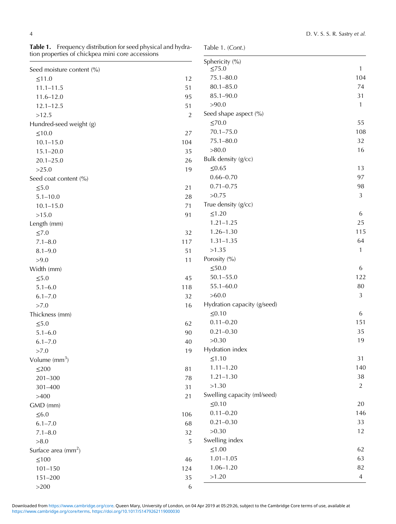|                                 |                | Sphericity (%)              |              |
|---------------------------------|----------------|-----------------------------|--------------|
| Seed moisture content (%)       |                | $\leq$ 75.0                 | 1            |
| ≤11.0                           | 12             | $75.1 - 80.0$               | 104          |
| $11.1 - 11.5$                   | 51             | $80.1 - 85.0$               | 74           |
| $11.6 - 12.0$                   | 95             | 85.1-90.0                   | 31           |
| $12.1 - 12.5$                   | 51             | >90.0                       | $\mathbf{1}$ |
| >12.5                           | $\overline{2}$ | Seed shape aspect (%)       |              |
| Hundred-seed weight (g)         |                | $\leq 70.0$                 | 55           |
| $\leq 10.0$                     | 27             | $70.1 - 75.0$               | 108          |
| $10.1 - 15.0$                   | 104            | $75.1 - 80.0$               | 32           |
| $15.1 - 20.0$                   | 35             | >80.0                       | 16           |
| $20.1 - 25.0$                   | 26             | Bulk density (g/cc)         |              |
| >25.0                           | 19             | $≤0.65$                     | 13           |
| Seed coat content (%)           |                | $0.66 - 0.70$               | 97           |
| $\leq 5.0$                      | 21             | $0.71 - 0.75$               | 98           |
| $5.1 - 10.0$                    | $28\,$         | >0.75                       | 3            |
| $10.1 - 15.0$                   | 71             | True density (g/cc)         |              |
| >15.0                           | 91             | ≤1.20                       | 6            |
| Length (mm)                     |                | $1.21 - 1.25$               | 25           |
| $\leq 7.0$                      | 32             | $1.26 - 1.30$               | 115          |
| $7.1 - 8.0$                     | 117            | $1.31 - 1.35$               | 64           |
| $8.1 - 9.0$                     | 51             | >1.35                       | $\mathbf{1}$ |
| >9.0                            | 11             | Porosity (%)                |              |
| Width (mm)                      |                | $\leq 50.0$                 | 6            |
| $\leq 5.0$                      | 45             | $50.1 - 55.0$               | 122          |
| $5.1 - 6.0$                     | 118            | $55.1 - 60.0$               | $80\,$       |
| $6.1 - 7.0$                     | 32             | >60.0                       | 3            |
| >7.0                            | 16             | Hydration capacity (g/seed) |              |
| Thickness (mm)                  |                | $\leq 0.10$                 | 6            |
| $\leq 5.0$                      | 62             | $0.11 - 0.20$               | 151          |
| $5.1 - 6.0$                     | 90             | $0.21 - 0.30$               | 35           |
| $6.1 - 7.0$                     | 40             | >0.30                       | 19           |
| >7.0                            | 19             | Hydration index             |              |
| Volume $\text{(mm}^3)$          |                | ≤1.10                       | 31           |
| $\leq$ 200                      | 81             | $1.11 - 1.20$               | 140          |
| $201 - 300$                     | 78             | $1.21 - 1.30$               | $38\,$       |
| 301-400                         | 31             | >1.30                       | 2            |
| >400                            | 21             | Swelling capacity (ml/seed) |              |
| GMD (mm)                        |                | $\leq 0.10$                 | 20           |
| $\leq 6.0$                      | 106            | $0.11 - 0.20$               | 146          |
| $6.1 - 7.0$                     | 68             | $0.21 - 0.30$               | 33           |
| $7.1 - 8.0$                     | 32             | >0.30                       | 12           |
| >8.0                            | 5              | Swelling index              |              |
| Surface area (mm <sup>2</sup> ) |                | $≤1.00$                     | 62           |
| ${\leq}100$                     | 46             | $1.01 - 1.05$               | 63           |
| $101 - 150$                     | 124            | $1.06 - 1.20$               | 82           |
| $151 - 200$                     | 35             | >1.20                       | 4            |
|                                 |                |                             |              |

<span id="page-3-0"></span>Table 1. Frequency distribution for seed physical and hydration properties of chickpea mini core accessions

Table 1. (Cont.)

 $>200$  6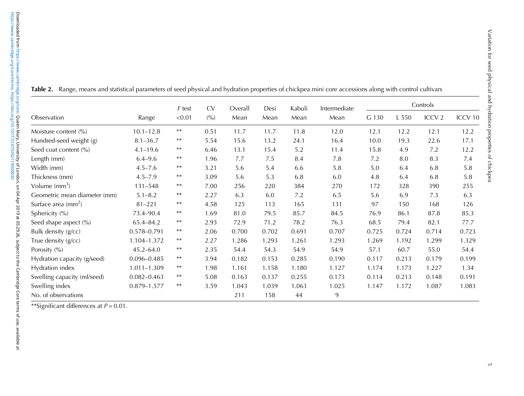|                              | F test<br>Range<br>< 0.01 | <b>CV</b>  | Overall | Desi  | Kabuli | Intermediate | Controls |       |       |                   |                    |
|------------------------------|---------------------------|------------|---------|-------|--------|--------------|----------|-------|-------|-------------------|--------------------|
| Observation                  |                           |            | (9/0)   | Mean  | Mean   | Mean         | Mean     | G 130 | L 550 | ICCV <sub>2</sub> | ICCV <sub>10</sub> |
| Moisture content (%)         | $10.1 - 12.8$             | $\ast\ast$ | 0.51    | 11.7  | 11.7   | 11.8         | 12.0     | 12.1  | 12.2  | 12.1              | 12.2               |
| Hundred-seed weight (g)      | $8.1 - 36.7$              | $***$      | 5.54    | 15.6  | 13.2   | 24.1         | 16.4     | 10.0  | 19.3  | 22.6              | 17.1               |
| Seed coat content (%)        | $4.1 - 19.6$              | $***$      | 6.46    | 13.1  | 15.4   | 5.2          | 11.4     | 15.8  | 4.9   | 7.2               | 12.2               |
| Length (mm)                  | $6.4 - 9.6$               | $***$      | 1.96    | 7.7   | 7.5    | 8.4          | 7.8      | 7.2   | 8.0   | 8.3               | 7.4                |
| Width (mm)                   | $4.5 - 7.6$               | $***$      | 3.21    | 5.6   | 5.4    | 6.6          | 5.8      | 5.0   | 6.4   | 6.8               | 5.8                |
| Thickness (mm)               | $4.5 - 7.9$               | $***$      | 3.09    | 5.6   | 5.3    | 6.8          | 6.0      | 4.8   | 6.4   | 6.8               | 5.8                |
| Volume $\text{(mm}^3)$       | $131 - 548$               | $***$      | 7.00    | 256   | 220    | 384          | 270      | 172   | 328   | 390               | 255                |
| Geometric mean diameter (mm) | $5.1 - 8.2$               | $***$      | 2.27    | 6.3   | 6.0    | 7.2          | 6.5      | 5.6   | 6.9   | 7.3               | 6.3                |
| Surface area $\text{(mm}^2)$ | $81 - 221$                | $***$      | 4.58    | 125   | 113    | 165          | 131      | 97    | 150   | 168               | 126                |
| Sphericity (%)               | 73.4-90.4                 | $***$      | 1.69    | 81.0  | 79.5   | 85.7         | 84.5     | 76.9  | 86.1  | 87.8              | 85.3               |
| Seed shape aspect (%)        | 65.4-84.2                 | $***$      | 2.93    | 72.9  | 71.2   | 78.2         | 76.3     | 68.5  | 79.4  | 82.1              | 77.7               |
| Bulk density (g/cc)          | 0.578-0.791               | **         | 2.06    | 0.700 | 0.702  | 0.691        | 0.707    | 0.725 | 0.724 | 0.714             | 0.723              |
| True density (g/cc)          | 1.104-1.372               | $***$      | 2.27    | 1.286 | 1.293  | 1.261        | 1.293    | 1.269 | 1.192 | 1.299             | 1.329              |
| Porosity (%)                 | $45.2 - 64.0$             | $***$      | 2.35    | 54.4  | 54.3   | 54.9         | 54.9     | 57.1  | 60.7  | 55.0              | 54.4               |
| Hydration capacity (g/seed)  | $0.096 - 0.485$           | $***$      | 3.94    | 0.182 | 0.153  | 0.285        | 0.190    | 0.117 | 0.213 | 0.179             | 0.199              |
| Hydration index              | 1.011-1.309               | $***$      | 1.98    | 1.161 | 1.158  | 1.180        | 1.127    | 1.174 | 1.173 | 1.227             | 1.34               |
| Swelling capacity (ml/seed)  | $0.082 - 0.463$           | $***$      | 5.08    | 0.163 | 0.137  | 0.255        | 0.173    | 0.114 | 0.213 | 0.148             | 0.191              |
| Swelling index               | 0.879-1.577               | $***$      | 3.59    | 1.043 | 1.039  | 1.063        | 1.025    | 1.147 | 1.172 | 1.087             | 1.083              |
| No. of observations          |                           |            |         | 211   | 158    | 44           | 9        |       |       |                   |                    |

<span id="page-4-0"></span>**Table 2.** Range, means and statistical parameters of seed physical and hydration properties of chickpea mini core accessions along with control cultivars

 $^{**}$ Significant differences at  $P$  = 0.01.

Variation for seed physical and hydration properties of chickpea

Variation for seed physical and hydration properties of chickpea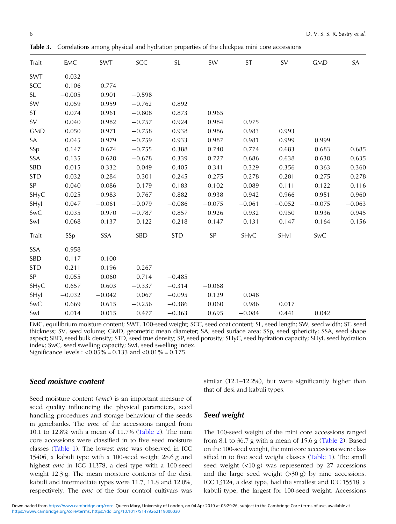| Trait      | EMC      | SWT      | SCC      | <b>SL</b>  | SW       | <b>ST</b> | SV       | <b>GMD</b> | SA       |
|------------|----------|----------|----------|------------|----------|-----------|----------|------------|----------|
| <b>SWT</b> | 0.032    |          |          |            |          |           |          |            |          |
| SCC        | $-0.106$ | $-0.774$ |          |            |          |           |          |            |          |
| <b>SL</b>  | $-0.005$ | 0.901    | $-0.598$ |            |          |           |          |            |          |
| SW         | 0.059    | 0.959    | $-0.762$ | 0.892      |          |           |          |            |          |
| <b>ST</b>  | 0.074    | 0.961    | $-0.808$ | 0.873      | 0.965    |           |          |            |          |
| SV         | 0.040    | 0.982    | $-0.757$ | 0.924      | 0.984    | 0.975     |          |            |          |
| <b>GMD</b> | 0.050    | 0.971    | $-0.758$ | 0.938      | 0.986    | 0.983     | 0.993    |            |          |
| SA         | 0.045    | 0.979    | $-0.759$ | 0.933      | 0.987    | 0.981     | 0.999    | 0.999      |          |
| SSp        | 0.147    | 0.674    | $-0.755$ | 0.388      | 0.740    | 0.774     | 0.683    | 0.683      | 0.685    |
| <b>SSA</b> | 0.135    | 0.620    | $-0.678$ | 0.339      | 0.727    | 0.686     | 0.638    | 0.630      | 0.635    |
| <b>SBD</b> | 0.015    | $-0.332$ | 0.049    | $-0.405$   | $-0.341$ | $-0.329$  | $-0.356$ | $-0.363$   | $-0.360$ |
| <b>STD</b> | $-0.032$ | $-0.284$ | 0.301    | $-0.245$   | $-0.275$ | $-0.278$  | $-0.281$ | $-0.275$   | $-0.278$ |
| SP         | 0.040    | $-0.086$ | $-0.179$ | $-0.183$   | $-0.102$ | $-0.089$  | $-0.111$ | $-0.122$   | $-0.116$ |
| SHyC       | 0.025    | 0.983    | $-0.767$ | 0.882      | 0.938    | 0.942     | 0.966    | 0.951      | 0.960    |
| SHyl       | 0.047    | $-0.061$ | $-0.079$ | $-0.086$   | $-0.075$ | $-0.061$  | $-0.052$ | $-0.075$   | $-0.063$ |
| SwC        | 0.035    | 0.970    | $-0.787$ | 0.857      | 0.926    | 0.932     | 0.950    | 0.936      | 0.945    |
| Swl        | 0.068    | $-0.137$ | $-0.122$ | $-0.218$   | $-0.147$ | $-0.131$  | $-0.147$ | $-0.164$   | $-0.156$ |
| Trait      | SSp      | SSA      | SBD      | <b>STD</b> | SP       | SHyC      | SHyl     | SwC        |          |
| <b>SSA</b> | 0.958    |          |          |            |          |           |          |            |          |
| SBD        | $-0.117$ | $-0.100$ |          |            |          |           |          |            |          |
| <b>STD</b> | $-0.211$ | $-0.196$ | 0.267    |            |          |           |          |            |          |
| SP         | 0.055    | 0.060    | 0.714    | $-0.485$   |          |           |          |            |          |
| SHyC       | 0.657    | 0.603    | $-0.337$ | $-0.314$   | $-0.068$ |           |          |            |          |
| SHyl       | $-0.032$ | $-0.042$ | 0.067    | $-0.095$   | 0.129    | 0.048     |          |            |          |
| <b>SwC</b> | 0.669    | 0.615    | $-0.256$ | $-0.386$   | 0.060    | 0.986     | 0.017    |            |          |
| Swl        | 0.014    | 0.015    | 0.477    | $-0.363$   | 0.695    | $-0.084$  | 0.441    | 0.042      |          |
|            |          |          |          |            |          |           |          |            |          |

<span id="page-5-0"></span>Table 3. Correlations among physical and hydration properties of the chickpea mini core accessions

EMC, equilibrium moisture content; SWT, 100-seed weight; SCC, seed coat content; SL, seed length; SW, seed width; ST, seed thickness; SV, seed volume; GMD, geometric mean diameter; SA, seed surface area; SSp, seed sphericity; SSA, seed shape aspect; SBD, seed bulk density; STD, seed true density; SP, seed porosity; SHyC, seed hydration capacity; SHyI, seed hydration index; SwC, seed swelling capacity; SwI, seed swelling index. Significance levels :  $< 0.05\% = 0.133$  and  $< 0.01\% = 0.175$ .

#### Seed moisture content

Seed moisture content (emc) is an important measure of seed quality influencing the physical parameters, seed handling procedures and storage behaviour of the seeds in genebanks. The emc of the accessions ranged from 10.1 to 12.8% with a mean of 11.7% [\(Table 2\)](#page-4-0). The mini core accessions were classified in to five seed moisture classes [\(Table 1](#page-3-0)). The lowest emc was observed in ICC 15406, a kabuli type with a 100-seed weight 28.6 g and highest emc in ICC 11378, a desi type with a 100-seed weight 12.3 g. The mean moisture contents of the desi, kabuli and intermediate types were 11.7, 11.8 and 12.0%, respectively. The emc of the four control cultivars was similar (12.1–12.2%), but were significantly higher than that of desi and kabuli types.

# Seed weight

The 100-seed weight of the mini core accessions ranged from 8.1 to  $36.7$  g with a mean of  $15.6$  g [\(Table 2](#page-4-0)). Based on the 100-seed weight, the mini core accessions were classified in to five seed weight classes ([Table 1](#page-3-0)). The small seed weight  $\left($ <10 g) was represented by 27 accessions and the large seed weight  $(>30 \text{ g})$  by nine accessions. ICC 13124, a desi type, had the smallest and ICC 15518, a kabuli type, the largest for 100-seed weight. Accessions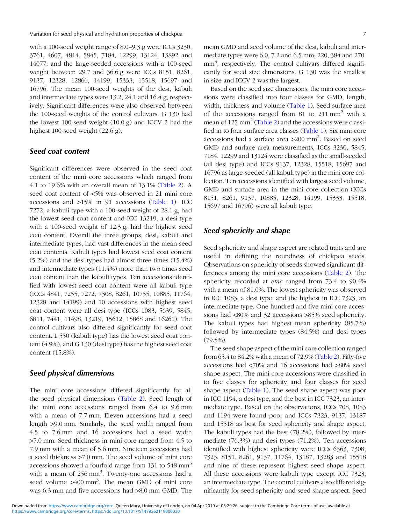with a 100-seed weight range of 8.0–9.3 g were ICCs 3230, 3761, 4607, 4814, 5845, 7184, 12299, 13124, 13892 and 14077; and the large-seeded accessions with a 100-seed weight between 29.7 and 36.6 g were ICCs 8151, 8261, 9137, 12328, 12866, 14199, 15333, 15518, 15697 and 16796. The mean 100-seed weights of the desi, kabuli and intermediate types were 13.2, 24.1 and 16.4 g, respectively. Significant differences were also observed between the 100-seed weights of the control cultivars. G 130 had the lowest 100-seed weight (10.0 g) and ICCV 2 had the highest 100-seed weight (22.6 g).

## Seed coat content

Significant differences were observed in the seed coat content of the mini core accessions which ranged from 4.1 to 19.6% with an overall mean of 13.1% [\(Table 2\)](#page-4-0). A seed coat content of <5% was observed in 21 mini core accessions and >15% in 91 accessions ([Table 1](#page-3-0)). ICC 7272, a kabuli type with a 100-seed weight of 28.1 g, had the lowest seed coat content and ICC 13219, a desi type with a 100-seed weight of 12.3 g, had the highest seed coat content. Overall the three groups, desi, kabuli and intermediate types, had vast differences in the mean seed coat contents. Kabuli types had lowest seed coat content (5.2%) and the desi types had almost three times (15.4%) and intermediate types (11.4%) more than two times seed coat content than the kabuli types. Ten accessions identified with lowest seed coat content were all kabuli type (ICCs 4841, 7255, 7272, 7308, 8261, 10755, 10885, 11764, 12328 and 14199) and 10 accessions with highest seed coat content were all desi type (ICCs 1083, 5639, 5845, 6811, 7441, 11498, 13219, 15612, 15868 and 16261). The control cultivars also differed significantly for seed coat content. L 550 (kabuli type) has the lowest seed coat content (4.9%), and G 130 (desi type) has the highest seed coat content (15.8%).

#### Seed physical dimensions

The mini core accessions differed significantly for all the seed physical dimensions ([Table 2\)](#page-4-0). Seed length of the mini core accessions ranged from 6.4 to 9.6 mm with a mean of 7.7 mm. Eleven accessions had a seed length >9.0 mm. Similarly, the seed width ranged from 4.5 to 7.6 mm and 16 accessions had a seed width >7.0 mm. Seed thickness in mini core ranged from 4.5 to 7.9 mm with a mean of 5.6 mm. Nineteen accessions had a seed thickness >7.0 mm. The seed volume of mini core accessions showed a fourfold range from 131 to  $548 \text{ mm}^3$ with a mean of 256 mm<sup>3</sup>. Twenty-one accessions had a seed volume  $>400$  mm<sup>3</sup>. The mean GMD of mini core was 6.3 mm and five accessions had >8.0 mm GMD. The mean GMD and seed volume of the desi, kabuli and intermediate types were 6.0, 7.2 and 6.5 mm; 220, 384 and 270 mm<sup>3</sup>, respectively. The control cultivars differed significantly for seed size dimensions. G 130 was the smallest in size and ICCV 2 was the largest.

Based on the seed size dimensions, the mini core accessions were classified into four classes for GMD, length, width, thickness and volume ([Table 1\)](#page-3-0). Seed surface area of the accessions ranged from 81 to  $211 \text{ mm}^2$  with a mean of 125 mm<sup>2</sup> ([Table 2\)](#page-4-0) and the accessions were classified in to four surface area classes ([Table 1\)](#page-3-0). Six mini core accessions had a surface area >200 mm<sup>2</sup>. Based on seed GMD and surface area measurements, ICCs 3230, 5845, 7184, 12299 and 13124 were classified as the small-seeded (all desi type) and ICCs 9137, 12328, 15518, 15697 and 16796 as large-seeded (all kabuli type) in the mini core collection. Ten accessions identified with largest seed volume, GMD and surface area in the mini core collection (ICCs 8151, 8261, 9137, 10885, 12328, 14199, 15333, 15518, 15697 and 16796) were all kabuli type.

# Seed sphericity and shape

Seed sphericity and shape aspect are related traits and are useful in defining the roundness of chickpea seeds. Observations on sphericity of seeds showed significant differences among the mini core accessions ([Table 2](#page-4-0)). The sphericity recorded at emc ranged from 73.4 to 90.4% with a mean of 81.0%. The lowest sphericity was observed in ICC 1083, a desi type, and the highest in ICC 7323, an intermediate type. One hundred and five mini core accessions had <80% and 32 accessions >85% seed sphericity. The kabuli types had highest mean sphericity (85.7%) followed by intermediate types (84.5%) and desi types  $(79.5\%)$ .

The seed shape aspect of the mini core collection ranged from 65.4 to 84.2% with a mean of 72.9% [\(Table 2\)](#page-4-0). Fifty-five accessions had <70% and 16 accessions had >80% seed shape aspect. The mini core accessions were classified in to five classes for sphericity and four classes for seed shape aspect [\(Table 1](#page-3-0)). The seed shape aspect was poor in ICC 1194, a desi type, and the best in ICC 7323, an intermediate type. Based on the observations, ICCs 708, 1083 and 1194 were found poor and ICCs 7323, 9137, 13187 and 15518 as best for seed sphericity and shape aspect. The kabuli types had the best (78.2%), followed by intermediate (76.3%) and desi types (71.2%). Ten accessions identified with highest sphericity were ICCs 6363, 7308, 7323, 8151, 8261, 9137, 11764, 13187, 13283 and 15518 and nine of these represent highest seed shape aspect. All these accessions were kabuli type except ICC 7323, an intermediate type. The control cultivars also differed significantly for seed sphericity and seed shape aspect. Seed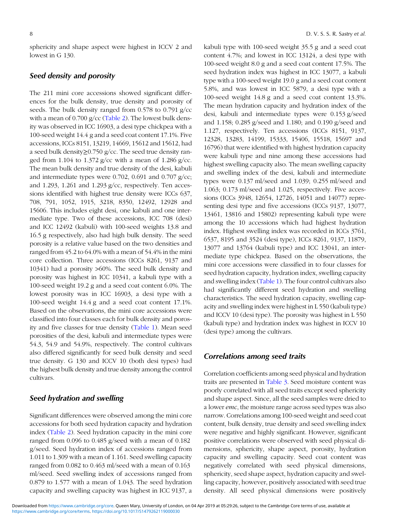sphericity and shape aspect were highest in ICCV 2 and lowest in G 130.

# Seed density and porosity

The 211 mini core accessions showed significant differences for the bulk density, true density and porosity of seeds. The bulk density ranged from 0.578 to 0.791 g/cc with a mean of  $0.700$  g/cc [\(Table 2](#page-4-0)). The lowest bulk density was observed in ICC 16903, a desi type chickpea with a 100-seed weight 14.4 g and a seed coat content 17.1%. Five accessions, ICCs 8151, 13219, 14669, 15612 and 15612, had a seed bulk density≥0.750 g/cc. The seed true density ranged from 1.104 to 1.372 g/cc with a mean of 1.286 g/cc. The mean bulk density and true density of the desi, kabuli and intermediate types were 0.702, 0.691 and 0.707 g/cc; and 1.293, 1.261 and 1.293  $g$ /cc, respectively. Ten accessions identified with highest true density were ICCs 637, 708, 791, 1052, 1915, 3218, 8350, 12492, 12928 and 15606. This includes eight desi, one kabuli and one intermediate type. Two of these accessions, ICC 708 (desi) and ICC 12492 (kabuli) with 100-seed weights 13.8 and 16.5 g respectively, also had high bulk density. The seed porosity is a relative value based on the two densities and ranged from 45.2 to 64.0% with a mean of 54.4% in the mini core collection. Three accessions (ICCs 8261, 9137 and 10341) had a porosity >60%. The seed bulk density and porosity was highest in ICC 10341, a kabuli type with a 100-seed weight 19.2 g and a seed coat content 6.0%. The lowest porosity was in ICC 16903, a desi type with a 100-seed weight 14.4 g and a seed coat content 17.1%. Based on the observations, the mini core accessions were classified into four classes each for bulk density and porosity and five classes for true density ([Table 1\)](#page-3-0). Mean seed porosities of the desi, kabuli and intermediate types were 54.3, 54.9 and 54.9%, respectively. The control cultivars also differed significantly for seed bulk density and seed true density. G 130 and ICCV 10 (both desi types) had the highest bulk density and true density among the control cultivars.

#### Seed hydration and swelling

Significant differences were observed among the mini core accessions for both seed hydration capacity and hydration index [\(Table 2\)](#page-4-0). Seed hydration capacity in the mini core ranged from 0.096 to 0.485 g/seed with a mean of 0.182 g/seed. Seed hydration index of accessions ranged from 1.011 to 1.309 with a mean of 1.161. Seed swelling capacity ranged from 0.082 to 0.463 ml/seed with a mean of 0.163 ml/seed. Seed swelling index of accessions ranged from 0.879 to 1.577 with a mean of 1.043. The seed hydration capacity and swelling capacity was highest in ICC 9137, a

kabuli type with 100-seed weight 35.5 g and a seed coat content 4.7%; and lowest in ICC 13124, a desi type with 100-seed weight 8.0 g and a seed coat content 17.5%. The seed hydration index was highest in ICC 13077, a kabuli type with a 100-seed weight 19.0 g and a seed coat content 5.8%, and was lowest in ICC 5879, a desi type with a 100-seed weight 14.8 g and a seed coat content 13.3%. The mean hydration capacity and hydration index of the desi, kabuli and intermediate types were 0.153 g/seed and 1.158; 0.285 g/seed and 1.180; and 0.190 g/seed and 1.127, respectively. Ten accessions (ICCs 8151, 9137, 12328, 13283, 14199, 15333, 15406, 15518, 15697 and 16796) that were identified with highest hydration capacity were kabuli type and nine among these accessions had highest swelling capacity also. The mean swelling capacity and swelling index of the desi, kabuli and intermediate types were 0.137 ml/seed and 1.039; 0.255 ml/seed and 1.063; 0.173 ml/seed and 1.025, respectively. Five accessions (ICCs 3948, 12654, 12726, 14051 and 14077) representing desi type and five accessions (ICCs 9137, 13077, 13461, 13816 and 15802) representing kabuli type were among the 10 accessions which had highest hydration index. Highest swelling index was recorded in ICCs 3761, 6537, 8195 and 3524 (desi type), ICCs 8261, 9137, 11879, 13077 and 13764 (kabuli type) and ICC 13041, an intermediate type chickpea. Based on the observations, the mini core accessions were classified in to four classes for seed hydration capacity, hydration index, swelling capacity and swelling index [\(Table 1](#page-3-0)). The four control cultivars also had significantly different seed hydration and swelling characteristics. The seed hydration capacity, swelling capacity and swelling index were highest in L 550 (kabuli type) and ICCV 10 (desi type). The porosity was highest in L 550 (kabuli type) and hydration index was highest in ICCV 10 (desi type) among the cultivars.

### Correlations among seed traits

Correlation coefficients among seed physical and hydration traits are presented in [Table 3](#page-5-0). Seed moisture content was poorly correlated with all seed traits except seed sphericity and shape aspect. Since, all the seed samples were dried to a lower emc, the moisture range across seed types was also narrow. Correlations among 100-seed weight and seed coat content, bulk density, true density and seed swelling index were negative and highly significant. However, significant positive correlations were observed with seed physical dimensions, sphericity, shape aspect, porosity, hydration capacity and swelling capacity. Seed coat content was negatively correlated with seed physical dimensions, sphericity, seed shape aspect, hydration capacity and swelling capacity, however, positively associated with seed true density. All seed physical dimensions were positively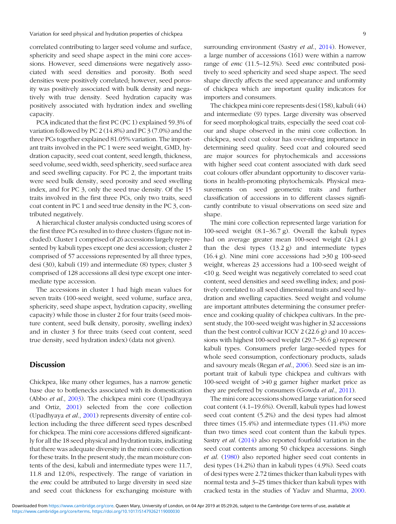correlated contributing to larger seed volume and surface, sphericity and seed shape aspect in the mini core accessions. However, seed dimensions were negatively associated with seed densities and porosity. Both seed densities were positively correlated; however, seed porosity was positively associated with bulk density and negatively with true density. Seed hydration capacity was positively associated with hydration index and swelling capacity.

PCA indicated that the first PC (PC 1) explained 59.3% of variation followed by PC 2 (14.8%) and PC 3 (7.0%) and the three PCs together explained 81.05% variation. The important traits involved in the PC 1 were seed weight, GMD, hydration capacity, seed coat content, seed length, thickness, seed volume, seed width, seed sphericity, seed surface area and seed swelling capacity. For PC 2, the important traits were seed bulk density, seed porosity and seed swelling index, and for PC 3, only the seed true density. Of the 15 traits involved in the first three PCs, only two traits, seed coat content in PC 1 and seed true density in the PC 3, contributed negatively.

A hierarchical cluster analysis conducted using scores of the first three PCs resulted in to three clusters (figure not included). Cluster 1 comprised of 26 accessions largely represented by kabuli types except one desi accession; cluster 2 comprised of 57 accessions represented by all three types, desi (30), kabuli (19) and intermediate (8) types; cluster 3 comprised of 128 accessions all desi type except one intermediate type accession.

The accessions in cluster 1 had high mean values for seven traits (100-seed weight, seed volume, surface area, sphericity, seed shape aspect, hydration capacity, swelling capacity) while those in cluster 2 for four traits (seed moisture content, seed bulk density, porosity, swelling index) and in cluster 3 for three traits (seed coat content, seed true density, seed hydration index) (data not given).

# **Discussion**

Chickpea, like many other legumes, has a narrow genetic base due to bottlenecks associated with its domestication (Abbo et al., [2003](#page-11-0)). The chickpea mini core (Upadhyaya and Ortiz, [2001\)](#page-13-0) selected from the core collection (Upadhyaya et al., [2001\)](#page-13-0) represents diversity of entire collection including the three different seed types described for chickpea. The mini core accessions differed significantly for all the 18 seed physical and hydration traits, indicating that there was adequate diversity in the mini core collection for these traits. In the present study, the mean moisture contents of the desi, kabuli and intermediate types were 11.7, 11.8 and 12.0%, respectively. The range of variation in the emc could be attributed to large diversity in seed size and seed coat thickness for exchanging moisture with surrounding environment (Sastry et al., [2014\)](#page-13-0). However, a large number of accessions (161) were within a narrow range of emc (11.5–12.5%). Seed emc contributed positively to seed sphericity and seed shape aspect. The seed shape directly affects the seed appearance and uniformity of chickpea which are important quality indicators for importers and consumers.

The chickpea mini core represents desi (158), kabuli (44) and intermediate (9) types. Large diversity was observed for seed morphological traits, especially the seed coat colour and shape observed in the mini core collection. In chickpea, seed coat colour has over-riding importance in determining seed quality. Seed coat and coloured seed are major sources for phytochemicals and accessions with higher seed coat content associated with dark seed coat colours offer abundant opportunity to discover variations in health-promoting phytochemicals. Physical measurements on seed geometric traits and further classification of accessions in to different classes significantly contribute to visual observations on seed size and shape.

The mini core collection represented large variation for 100-seed weight (8.1–36.7 g). Overall the kabuli types had on average greater mean 100-seed weight (24.1 g) than the desi types (13.2 g) and intermediate types  $(16.4 \text{ g})$ . Nine mini core accessions had  $>30 \text{ g } 100$ -seed weight, whereas 23 accessions had a 100-seed weight of <10 g. Seed weight was negatively correlated to seed coat content, seed densities and seed swelling index; and positively correlated to all seed dimensional traits and seed hydration and swelling capacities. Seed weight and volume are important attributes determining the consumer preference and cooking quality of chickpea cultivars. In the present study, the 100-seed weight was higher in 32 accessions than the best control cultivar ICCV 2 (22.6 g) and 10 accessions with highest 100-seed weight (29.7–36.6 g) represent kabuli types. Consumers prefer large-seeded types for whole seed consumption, confectionary products, salads and savoury meals (Regan et al., [2006\)](#page-13-0). Seed size is an important trait of kabuli type chickpea and cultivars with 100-seed weight of >40 g garner higher market price as they are preferred by consumers (Gowda et al., [2011](#page-12-0)).

The mini core accessions showed large variation for seed coat content (4.1–19.6%). Overall, kabuli types had lowest seed coat content (5.2%) and the desi types had almost three times (15.4%) and intermediate types (11.4%) more than two times seed coat content than the kabuli types. Sastry et al. [\(2014](#page-13-0)) also reported fourfold variation in the seed coat contents among 50 chickpea accessions. Singh et al. ([1980\)](#page-13-0) also reported higher seed coat contents in desi types (14.2%) than in kabuli types (4.9%). Seed coats of desi types were 2.72 times thicker than kabuli types with normal testa and 3–25 times thicker than kabuli types with cracked testa in the studies of Yadav and Sharma, [2000](#page-13-0).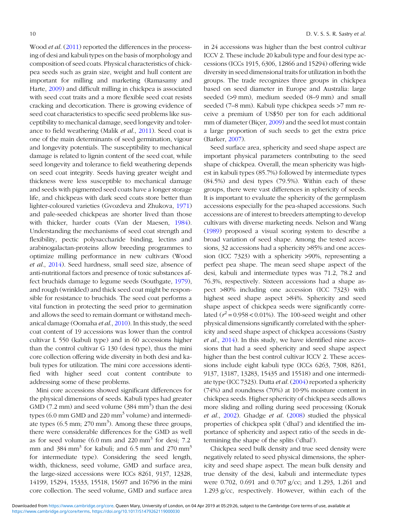Wood *et al.* [\(2011](#page-13-0)) reported the differences in the processing of desi and kabuli types on the basis of morphology and composition of seed coats. Physical characteristics of chickpea seeds such as grain size, weight and hull content are important for milling and marketing (Ramasamy and Harte, [2009\)](#page-13-0) and difficult milling in chickpea is associated with seed coat traits and a more flexible seed coat resists cracking and decortication. There is growing evidence of seed coat characteristics to specific seed problems like susceptibility to mechanical damage, seed longevity and tolerance to field weathering (Malik et al., [2011](#page-12-0)). Seed coat is one of the main determinants of seed germination, vigour and longevity potentials. The susceptibility to mechanical damage is related to lignin content of the seed coat, while seed longevity and tolerance to field weathering depends on seed coat integrity. Seeds having greater weight and thickness were less susceptible to mechanical damage and seeds with pigmented seed coats have a longer storage life, and chickpeas with dark seed coats store better than lighter-coloured varieties (Gvozdeva and Zhukova, [1971\)](#page-12-0) and pale-seeded chickpeas are shorter lived than those with thicker, harder coats (Van der Maesen, [1984](#page-13-0)). Understanding the mechanisms of seed coat strength and flexibility, pectic polysaccharide binding, lectins and arabinogalactan-proteins allow breeding programmes to optimize milling performance in new cultivars (Wood et al., [2014](#page-13-0)). Seed hardness, small seed size, absence of anti-nutritional factors and presence of toxic substances affect bruchids damage to legume seeds (Southgate, [1979](#page-13-0)), and rough (wrinkled) and thick seed coat might be responsible for resistance to bruchids. The seed coat performs a vital function in protecting the seed prior to germination and allows the seed to remain dormant or withstand mechanical damage (Oomaha et al., [2010](#page-13-0)). In this study, the seed coat content of 19 accessions was lower than the control cultivar L 550 (kabuli type) and in 60 accessions higher than the control cultivar G 130 (desi type), thus the mini core collection offering wide diversity in both desi and kabuli types for utilization. The mini core accessions identified with higher seed coat content contribute to addressing some of these problems.

Mini core accessions showed significant differences for the physical dimensions of seeds. Kabuli types had greater GMD (7.2 mm) and seed volume  $(384 \text{ mm}^3)$  than the desi types (6.0 mm GMD and 220 mm<sup>3</sup> volume) and intermediate types  $(6.5 \text{ mm}; 270 \text{ mm}^3)$ . Among these three groups, there were considerable differences for the GMD as well as for seed volume  $(6.0 \text{ mm}$  and  $220 \text{ mm}^3$  for desi;  $7.2$ mm and 384 mm<sup>3</sup> for kabuli; and 6.5 mm and 270 mm<sup>3</sup> for intermediate type). Considering the seed length, width, thickness, seed volume, GMD and surface area, the large-sized accessions were ICCs 8261, 9137, 12328, 14199, 15294, 15333, 15518, 15697 and 16796 in the mini core collection. The seed volume, GMD and surface area

in 24 accessions was higher than the best control cultivar ICCV 2. These include 20 kabuli type and four desi type accessions (ICCs 1915, 6306, 12866 and 15294) offering wide diversity in seed dimensional traits for utilization in both the groups. The trade recognizes three groups in chickpea based on seed diameter in Europe and Australia: large seeded (>9 mm), medium seeded (8–9 mm) and small seeded (7–8 mm). Kabuli type chickpea seeds >7 mm receive a premium of US\$50 per ton for each additional mm of diameter (Biçer, [2009\)](#page-12-0) and the seed lot must contain a large proportion of such seeds to get the extra price (Barker, [2007](#page-12-0)).

Seed surface area, sphericity and seed shape aspect are important physical parameters contributing to the seed shape of chickpea. Overall, the mean sphericity was highest in kabuli types (85.7%) followed by intermediate types (84.5%) and desi types (79.5%). Within each of these groups, there were vast differences in sphericity of seeds. It is important to evaluate the sphericity of the germplasm accessions especially for the pea-shaped accessions. Such accessions are of interest to breeders attempting to develop cultivars with diverse marketing needs. Nelson and Wang [\(1989](#page-12-0)) proposed a visual scoring system to describe a broad variation of seed shape. Among the tested accessions, 32 accessions had a sphericity >85% and one accession (ICC 7323) with a sphericity >90%, representing a perfect pea shape. The mean seed shape aspect of the desi, kabuli and intermediate types was 71.2, 78.2 and 76.3%, respectively. Sixteen accessions had a shape aspect >80% including one accession (ICC 7323) with highest seed shape aspect >84%. Sphericity and seed shape aspect of chickpea seeds were significantly correlated  $(r^2 = 0.958 < 0.01\%)$ . The 100-seed weight and other physical dimensions significantly correlated with the sphericity and seed shape aspect of chickpea accessions (Sastry et al., [2014\)](#page-13-0). In this study, we have identified nine accessions that had a seed sphericity and seed shape aspect higher than the best control cultivar ICCV 2. These accessions include eight kabuli type (ICCs 6263, 7308, 8261, 9137, 13187, 13283, 15435 and 15518) and one intermediate type (ICC 7323). Dutta et al. ([2004](#page-12-0)) reported a sphericity (74%) and roundness (70%) at 10·9% moisture content in chickpea seeds. Higher sphericity of chickpea seeds allows more sliding and rolling during seed processing (Konak et al., [2002](#page-12-0)). Ghadge et al. [\(2008](#page-12-0)) studied the physical properties of chickpea split ('dhal') and identified the importance of sphericity and aspect ratio of the seeds in determining the shape of the splits ('dhal').

Chickpea seed bulk density and true seed density were negatively related to seed physical dimensions, the sphericity and seed shape aspect. The mean bulk density and true density of the desi, kabuli and intermediate types were 0.702, 0.691 and 0.707 g/cc; and 1.293, 1.261 and 1.293 g/cc, respectively. However, within each of the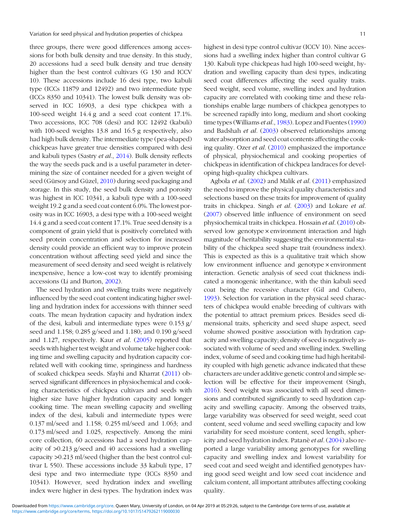three groups, there were good differences among accessions for both bulk density and true density. In this study, 20 accessions had a seed bulk density and true density higher than the best control cultivars (G 130 and ICCV 10). These accessions include 16 desi type, two kabuli type (ICCs 11879 and 12492) and two intermediate type (ICCs 8350 and 10341). The lowest bulk density was observed in ICC 16903, a desi type chickpea with a 100-seed weight 14.4 g and a seed coat content 17.1%. Two accessions, ICC 708 (desi) and ICC 12492 (kabuli) with 100-seed weights 13.8 and 16.5 g respectively, also had high bulk density. The intermediate type (pea-shaped) chickpeas have greater true densities compared with desi and kabuli types (Sastry et al., [2014](#page-13-0)). Bulk density reflects the way the seeds pack and is a useful parameter in determining the size of container needed for a given weight of seed (Gürsoy and Güzel, [2010](#page-12-0)) during seed packaging and storage. In this study, the seed bulk density and porosity was highest in ICC 10341, a kabuli type with a 100-seed weight 19.2 g and a seed coat content 6.0%. The lowest porosity was in ICC 16903, a desi type with a 100-seed weight 14.4 g and a seed coat content 17.1%. True seed density is a component of grain yield that is positively correlated with seed protein concentration and selection for increased density could provide an efficient way to improve protein concentration without affecting seed yield and since the measurement of seed density and seed weight is relatively inexpensive, hence a low-cost way to identify promising accessions (Li and Burton, [2002\)](#page-12-0).

The seed hydration and swelling traits were negatively influenced by the seed coat content indicating higher swelling and hydration index for accessions with thinner seed coats. The mean hydration capacity and hydration index of the desi, kabuli and intermediate types were 0.153 g/ seed and 1.158; 0.285 g/seed and 1.180; and 0.190 g/seed and 1.127, respectively. Kaur et al. [\(2005](#page-12-0)) reported that seeds with higher test weight and volume take higher cooking time and swelling capacity and hydration capacity correlated well with cooking time, springiness and hardness of soaked chickpea seeds. Sfayhi and Kharrat ([2011\)](#page-13-0) observed significant differences in physiochemical and cooking characteristics of chickpea cultivars and seeds with higher size have higher hydration capacity and longer cooking time. The mean swelling capacity and swelling index of the desi, kabuli and intermediate types were 0.137 ml/seed and 1.158; 0.255 ml/seed and 1.063; and 0.173 ml/seed and 1.025, respectively. Among the mini core collection, 60 accessions had a seed hydration capacity of >0.213 g/seed and 40 accessions had a swelling capacity >0.213 ml/seed (higher than the best control cultivar L 550). These accessions include 33 kabuli type, 17 desi type and two intermediate type (ICCs 8350 and 10341). However, seed hydration index and swelling index were higher in desi types. The hydration index was highest in desi type control cultivar (ICCV 10). Nine accessions had a swelling index higher than control cultivar G 130. Kabuli type chickpeas had high 100-seed weight, hydration and swelling capacity than desi types, indicating seed coat differences affecting the seed quality traits. Seed weight, seed volume, swelling index and hydration capacity are correlated with cooking time and these relationships enable large numbers of chickpea genotypes to be screened rapidly into long, medium and short cooking time types (Williams et al., [1983](#page-13-0)). Lopez and Fuentes ([1990](#page-12-0)) and Badshah et al. [\(2003](#page-12-0)) observed relationships among water absorption and seed coat contents affecting the cooking quality. Ozer et al. [\(2010](#page-13-0)) emphasized the importance of physical, physiochemical and cooking properties of chickpeas in identification of chickpea landraces for developing high-quality chickpea cultivars.

Agbola et al. [\(2002](#page-12-0)) and Malik et al. [\(2011](#page-12-0)) emphasized the need to improve the physical quality characteristics and selections based on these traits for improvement of quality traits in chickpea. Singh et al. [\(2003\)](#page-13-0) and Lokare et al. [\(2007](#page-12-0)) observed little influence of environment on seed physiochemical traits in chickpea. Hossain et al. [\(2010](#page-12-0)) observed low genotype × environment interaction and high magnitude of heritability suggesting the environmental stability of the chickpea seed shape trait (roundness index). This is expected as this is a qualitative trait which show low environment influence and genotype × environment interaction. Genetic analysis of seed coat thickness indicated a monogenic inheritance, with the thin kabuli seed coat being the recessive character (Gil and Cubero, [1993](#page-12-0)). Selection for variation in the physical seed characters of chickpea would enable breeding of cultivars with the potential to attract premium prices. Besides seed dimensional traits, sphericity and seed shape aspect, seed volume showed positive association with hydration capacity and swelling capacity; density of seed is negatively associated with volume of seed and swelling index. Swelling index, volume of seed and cooking time had high heritability coupled with high genetic advance indicated that these characters are under additive genetic control and simple selection will be effective for their improvement (Singh, [2016](#page-13-0)). Seed weight was associated with all seed dimensions and contributed significantly to seed hydration capacity and swelling capacity. Among the observed traits, large variability was observed for seed weight, seed coat content, seed volume and seed swelling capacity and low variability for seed moisture content, seed length, sphericity and seed hydration index. Patanè et al. ([2004\)](#page-13-0) also reported a large variability among genotypes for swelling capacity and swelling index and lowest variability for seed coat and seed weight and identified genotypes having good seed weight and low seed coat incidence and calcium content, all important attributes affecting cooking quality.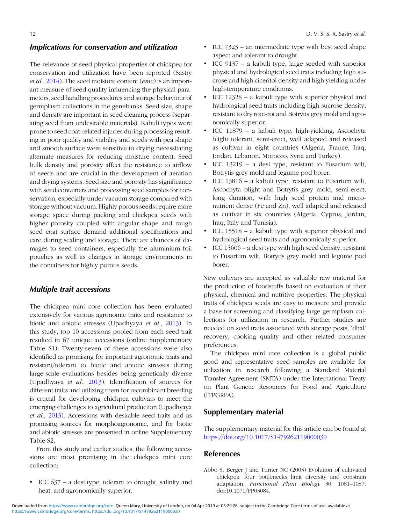# <span id="page-11-0"></span>Implications for conservation and utilization

The relevance of seed physical properties of chickpea for conservation and utilization have been reported (Sastry et al., [2014](#page-13-0)). The seed moisture content (emc) is an important measure of seed quality influencing the physical parameters, seed handling procedures and storage behaviour of germplasm collections in the genebanks. Seed size, shape and density are important in seed cleaning process (separating seed from undesirable materials). Kabuli types were prone to seed coat-related injuries during processing resulting in poor quality and viability and seeds with pea shape and smooth surface were sensitive to drying necessitating alternate measures for reducing moisture content. Seed bulk density and porosity affect the resistance to airflow of seeds and are crucial in the development of aeration and drying systems. Seed size and porosity has significance with seed containers and processing seed samples for conservation, especially under vacuum storage compared with storage without vacuum. Highly porous seeds require more storage space during packing and chickpea seeds with higher porosity coupled with angular shape and rough seed coat surface demand additional specifications and care during sealing and storage. There are chances of damages to seed containers, especially the aluminium foil pouches as well as changes in storage environments in the containers for highly porous seeds.

#### Multiple trait accessions

The chickpea mini core collection has been evaluated extensively for various agronomic traits and resistance to biotic and abiotic stresses (Upadhyaya et al., [2013](#page-13-0)). In this study, top 10 accessions pooled from each seed trait resulted in 67 unique accessions (online Supplementary Table S1). Twenty-seven of these accessions were also identified as promising for important agronomic traits and resistant/tolerant to biotic and abiotic stresses during large-scale evaluations besides being genetically diverse (Upadhyaya et al., [2013\)](#page-13-0). Identification of sources for different traits and utilizing them for recombinant breeding is crucial for developing chickpea cultivars to meet the emerging challenges to agricultural production (Upadhyaya et al., [2013\)](#page-13-0). Accessions with desirable seed traits and as promising sources for morphoagronomic, and for biotic and abiotic stresses are presented in online Supplementary Table S2.

From this study and earlier studies, the following accessions are most promising in the chickpea mini core collection:

• ICC 637 – a desi type, tolerant to drought, salinity and heat, and agronomically superior.

- ICC 7323 an intermediate type with best seed shape aspect and tolerant to drought.
- ICC 9137 a kabuli type, large seeded with superior physical and hydrological seed traits including high sucrose and high ciceritol density and high yielding under high-temperature conditions.
- ICC 12328 a kabuli type with superior physical and hydrological seed traits including high sucrose density, resistant to dry root-rot and Botrytis grey mold and agronomically superior.
- ICC 11879 a kabuli type, high-yielding, Ascochyta blight tolerant, semi-erect, well adapted and released as cultivar in eight countries (Algeria, France, Iraq, Jordan, Lebanon, Morocco, Syria and Turkey).
- ICC 13219 a desi type, resistant to Fusarium wilt, Botrytis grey mold and legume pod borer.
- ICC 13816 a kabuli type, resistant to Fusarium wilt, Ascochyta blight and Botrytis grey mold, semi-erect, long duration, with high seed protein and micronutrient dense (Fe and Zn), well adapted and released as cultivar in six countries (Algeria, Cyprus, Jordan, Iraq, Italy and Tunisia).
- ICC 15518 a kabuli type with superior physical and hydrological seed traits and agronomically superior.
- ICC 15606 a desi type with high seed density, resistant to Fusarium wilt, Botrytis grey mold and legume pod borer.

New cultivars are accepted as valuable raw material for the production of foodstuffs based on evaluation of their physical, chemical and nutritive properties. The physical traits of chickpea seeds are easy to measure and provide a base for screening and classifying large germplasm collections for utilization in research. Further studies are needed on seed traits associated with storage pests, 'dhal' recovery, cooking quality and other related consumer preferences.

The chickpea mini core collection is a global public good and representative seed samples are available for utilization in research following a Standard Material Transfer Agreement (SMTA) under the International Treaty on Plant Genetic Resources for Food and Agriculture (ITPGRFA).

## Supplementary material

The supplementary material for this article can be found at <https://doi.org/10.1017/S1479262119000030>

#### References

Abbo S, Berger J and Turner NC (2003) Evolution of cultivated chickpea: four bottlenecks limit diversity and constrain adaptation. Functional Plant Biology 30: 1081–1087. doi:10.1071/FP03084.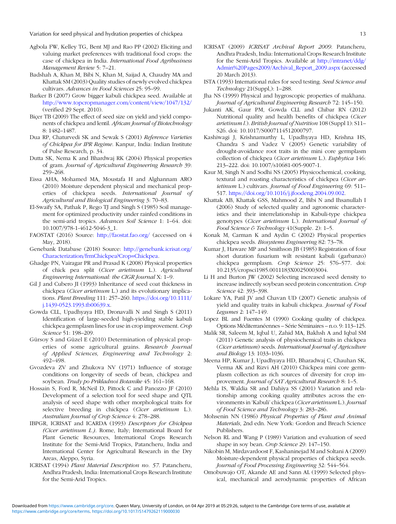- <span id="page-12-0"></span>Agbola FW, Kelley TG, Bent MJ and Rao PP (2002) Eliciting and valuing market preferences with traditional food crops: the case of chickpea in India. International Food Agribusiness Management Review 5: 7–21.
- Badshah A, Khan M, Bibi N, Khan M, Saijad A, Chaudry MA and Khattak SM (2003) Quality studies of newly evolved chickpea cultivars. Advances in Food Sciences 25: 95–99.
- Barker B (2007) Grow bigger kabuli chickpea seed. Available at <http://www.topcropmanager.com/content/view/1047/132/> (verified 29 Sept. 2010).
- Bicer TB (2009) The effect of seed size on yield and yield components of chickpea and lentil. African Journal of Biotechnology 8: 1482–1487.
- Dua RP, Chaturvedi SK and Sewak S (2001) Reference Varieties of Chickpea for IPR Regime. Kanpur, India: Indian Institute of Pulse Research, p. 34.
- Dutta SK, Nema K and Bhardwaj RK (2004) Physical properties of gram. Journal of Agricultural Engineering Research 39: 259–268.
- Eissa AHA, Mohamed MA, Moustafa H and Alghannam ARO (2010) Moisture dependent physical and mechanical properties of chickpea seeds. International Journal of Agricultural and Biological Engineering 3: 70–83.
- El-Swaify SA, Pathak P, Rego TJ and Singh S (1985) Soil management for optimized productivity under rainfed conditions in the semi-arid tropics. Advances Soil Science 1: 1-64. doi: 10.1007/978-1-4612-5046-3\_1.
- FAOSTAT (2016) Source: <http://faostat.fao.org/> (accessed on 4 May, 2018).
- Genebank Database (2018) Source: [http://genebank.icrisat.org/](http://genebank.icrisat.org/Characterization/frmChickpea?Crop=Chickpea) [Characterization/frmChickpea?Crop=Chickpea](http://genebank.icrisat.org/Characterization/frmChickpea?Crop=Chickpea).
- Ghadge PN, Vairagar PR and Prasad K (2008) Physical properties of chick pea split (Cicer arietinum L.). Agricultural Engineering International: the CIGR Journal X: 1–9.
- Gil J and Cubero JI (1993) Inheritance of seed coat thickness in chickpea (Cicer arietinum L.) and its evolutionary implications. Plant Breeding 111: 257–260. [https://doi.org/10.1111/](https://doi.org/10.1111/j.1439-0523.1993.tb00639.x) [j.1439-0523.1993.tb00639.x.](https://doi.org/10.1111/j.1439-0523.1993.tb00639.x)
- Gowda CLL, Upadhyaya HD, Dronavalli N and Singh S (2011) Identification of large-seeded high-yielding stable kabuli chickpea germplasm lines for use in crop improvement. Crop Science 51: 198–209.
- Gürsoy S and Güzel E (2010) Determination of physical properties of some agricultural grains. Research Journal of Applied Sciences, Engineering and Technology 2: 492–498.
- Gvozdeva ZV and Zhukova NV (1971) Influence of storage conditions on longevity of seeds of bean, chickpea and soybean. Trudy po Prikladnoi Botanike 45: 161–168.
- Hossain S, Ford R, McNeil D, Pittock C and Panozzo JF (2010) Development of a selection tool for seed shape and QTL analysis of seed shape with other morphological traits for selective breeding in chickpea (Cicer arietinum L.). Australian Journal of Crop Science 4: 278–288.
- IBPGR, ICRISAT and ICARDA (1993) Descriptors for Chickpea (Cicer arietinum L.). Rome, Italy; International Board for Plant Genetic Resources, International Crops Research Institute for the Semi-Arid Tropics, Patancheru, India and International Center for Agricultural Research in the Dry Areas, Aleppo, Syria.
- ICRISAT (1994) Plant Material Description no. 57. Patancheru, Andhra Pradesh, India: International Crops Research Institute for the Semi-Arid Tropics.
- ICRISAT (2009) ICRISAT Archival Report 2009. Patancheru, Andhra Pradesh, India: International Crops Research Institute for the Semi-Arid Tropics. Available at [http://intranet/ddg/](http://intranet/ddg/Admin%20Pages2009/Archival_Report_2009.aspx) [Admin%20Pages2009/Archival\\_Report\\_2009.aspx](http://intranet/ddg/Admin%20Pages2009/Archival_Report_2009.aspx) (accessed 20 March 2013).
- ISTA (1993) International rules for seed testing. Seed Science and Technology 21(Suppl,): 1–288.
- Jha NS (1999) Physical and hygroscopic properties of makhana. Journal of Agricultural Engineering Research 72: 145–150.
- Jukanti AK, Gaur PM, Gowda CLL and Chibar RN (2012) Nutritional quality and health benefits of chickpea (Cicer arietinum l.). British Journal of Nutrition 108 (Suppl 1): S11– S26. doi: 10.1017/S0007114512000797.
- Kashiwagi J, Krishnamurthy L, Upadhyaya HD, Krishna HS, Chandra S and Vadez V (2005) Genetic variability of drought-avoidance root traits in the mini core germplasm collection of chickpea (Cicer arietinum L.). Euphytica 146: 213–222. doi: 10.1007/s10681-005-9007-1.
- Kaur M, Singh N and Sodhi NS (2005) Physicochemical, cooking, textural and roasting characteristics of chickpea (Cicer arietinum L.) cultivars. Journal of Food Engineering 69: 511-517. <https://doi.org/10.1016/j.jfoodeng.2004.09.002>.
- Khattak AB, Khattak GSS, Mahmood Z, Bibi N and Ihsanullah I (2006) Study of selected quality and agronomic characteristics and their interrelationship in Kabuli-type chickpea genotypes (Cicer arietinum L.). International Journal of Food Science & Technology 41(Supple. 2): 1–5.
- Konak M, Carman K and Aydin C (2002) Physical properties chickpea seeds. Biosystems Engineering 82: 73–78.
- Kumar J, Haware MP and Smithson JB (1985) Registration of four short duration fusarium wilt resistant kabuli (garbanzo) chickpea germplasm. Crop Science 25: 576–577. doi: 10.2135/cropsci1985.0011183X00250003004.
- Li H and Burton JW (2002) Selecting increased seed density to increase indirectly soybean seed protein concentration. Crop Science 42: 393–398.
- Lokare YA, Patil JV and Chavan UD (2007) Genetic analysis of yield and quality traits in kabuli chickpea. Journal of Food Legumes 2: 147–149.
- Lopez BL and Fuentes M (1990) Cooking quality of chickpea. Options Méditerranéennes – Série Séminaires – n.o. 9: 113–125.
- Malik SR, Saleem M, Iqbal U, Zahid MA, Bakhsh A and Iqbal SM (2011) Genetic analysis of physiochemical traits in chickpea (Cicer arietinum) seeds. International Journal of Agriculture and Biology 13: 1033–1036.
- Meena HP, Kumar J, Upadhyaya HD, Bharadwaj C, Chauhan SK, Verma AK and Rizvi AH (2010) Chickpea mini core germplasm collection as rich sources of diversity for crop improvement. Journal of SAT Agricultural Research 8: 1-5.
- Mehla IS, Waldia SR and Dahiya SS (2001) Variation and relationship among cooking quality attributes across the environments in 'Kabuli' chickpea (Cicer arietinum L.). Journal of Food Science and Technology 3: 283–286.
- Mohsenin NN (1986) Physical Properties of Plant and Animal Materials, 2nd edn. New York: Gordon and Breach Science Publishers.
- Nelson RL and Wang P (1989) Variation and evaluation of seed shape in soy bean. Crop Science 29: 147–150.
- Nikobin M, Mirdavardoost F, Kashaninejad M and Soltani A (2009) Moisture-dependent physical properties of chickpea seeds. Journal of Food Processing Engineering 32: 544–564.
- Omobuwajo OT, Akande AE and Sann AL (1999) Selected physical, mechanical and aerodynamic properties of African